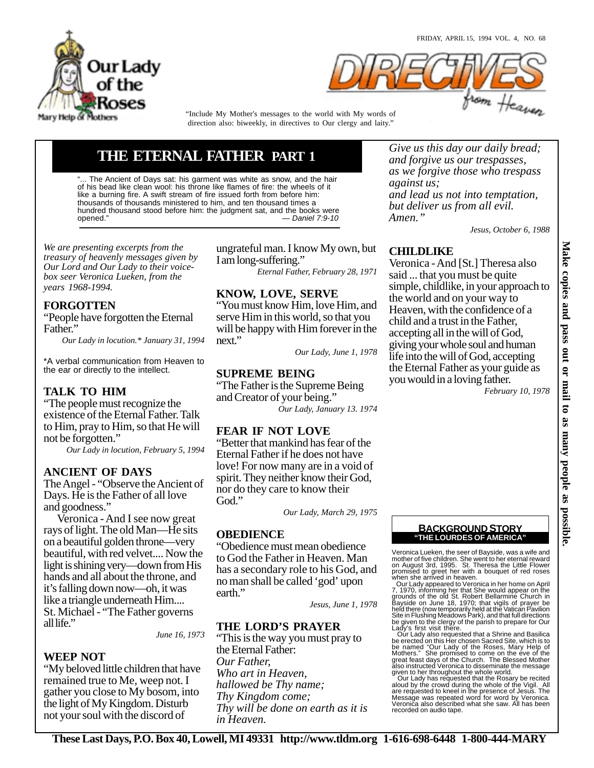



"Include My Mother's messages to the world with My words of direction also: biweekly, in directives to Our clergy and laity."

# **THE ETERNAL FATHER PART 1**

The Ancient of Days sat: his garment was white as snow, and the hair of his bead like clean wool: his throne like flames of fire: the wheels of it like a burning fire. A swift stream of fire issued forth from before him: thousands of thousands ministered to him, and ten thousand times a hundred thousand stood before him: the judgment sat, and the books were opened." — Daniel 7:9-10

*We are presenting excerpts from the treasury of heavenly messages given by Our Lord and Our Lady to their voicebox seer Veronica Lueken, from the years 1968-1994.*

## **FORGOTTEN**

"People have forgotten the Eternal Father."

*Our Lady in locution.\* January 31, 1994*

\*A verbal communication from Heaven to the ear or directly to the intellect.

## **TALK TO HIM**

"The people must recognize the existence of the Eternal Father. Talk to Him, pray to Him, so that He will not be forgotten."

*Our Lady in locution, February 5, 1994*

## **ANCIENT OF DAYS**

The Angel - "Observe the Ancient of Days. He is the Father of all love and goodness."

 Veronica - And I see now great rays of light. The old Man—He sits on a beautiful golden throne—very beautiful, with red velvet.... Now the light is shining very—down from His hands and all about the throne, and it's falling down now—oh, it was like a triangle underneath Him.... St. Michael - "The Father governs all life."

*June 16, 1973*

#### **WEEP NOT**

"My beloved little children that have remained true to Me, weep not. I gather you close to My bosom, into the light of My Kingdom. Disturb not your soul with the discord of

ungrateful man. I know My own, but I am long-suffering."

*Eternal Father, February 28, 1971*

## **KNOW, LOVE, SERVE**

"You must know Him, love Him, and serve Him in this world, so that you will be happy with Him forever in the next."

*Our Lady, June 1, 1978*

## **SUPREME BEING**

"The Father is the Supreme Being and Creator of your being." *Our Lady, January 13. 1974*

## **FEAR IF NOT LOVE**

"Better that mankind has fear of the Eternal Father if he does not have love! For now many are in a void of spirit. They neither know their God, nor do they care to know their God."

*Our Lady, March 29, 1975*

## **OBEDIENCE**

"Obedience must mean obedience to God the Father in Heaven. Man has a secondary role to his God, and no man shall be called 'god' upon earth."

*Jesus, June 1, 1978*

## **THE LORD'S PRAYER**

"This is the way you must pray to the Eternal Father: *Our Father, Who art in Heaven, hallowed be Thy name; Thy Kingdom come; Thy will be done on earth as it is in Heaven.*

*Give us this day our daily bread; and forgive us our trespasses, as we forgive those who trespass against us; and lead us not into temptation, but deliver us from all evil. Amen."*

*Jesus, October 6, 1988*

## **CHILDLIKE**

Veronica - And [St.] Theresa also said ... that you must be quite simple, childlike, in your approach to the world and on your way to Heaven, with the confidence of a child and a trust in the Father, accepting all in the will of God, giving your whole soul and human life into the will of God, accepting the Eternal Father as your guide as you would in a loving father.

*February 10, 1978*



Veronica Lueken, the seer of Bayside, was a wife and mother of five children. She went to her eternal reward<br>on August 3rd, 1995. St. Theresa the Little Flower<br>promised to greet her with a bouquet of red roses<br>when she arrived in heaven.<br>Our Lady appeared to Veronica in her

7, 1970, informing her that She would appear on the<br>grounds of the old St. Robert Bellarmine Church in<br>Bayside on June 18, 1970; that vigils of prayer be<br>held there (now temporarily held at the Vatican Pavilion<br>Site in Flu Lady's first visit there.

 Our Lady also requested that a Shrine and Basilica be erected on this Her chosen Sacred Site, which is to be named "Our Lady of the Roses, Mary Help of Mothers." She promised to come on the eve of the great feast days of the Church. The Blessed Mother also instructed Veronica to disseminate the message given to her throughout the whole world. Our Lady has requested that the Rosary be recited

aloud by the crowd during the whole of the Vigil. All are requested to kneel in the presence of Jesus. The Message was repeated word for word by Veronica. Veronica also described what she saw. All has been recorded on audio tape.